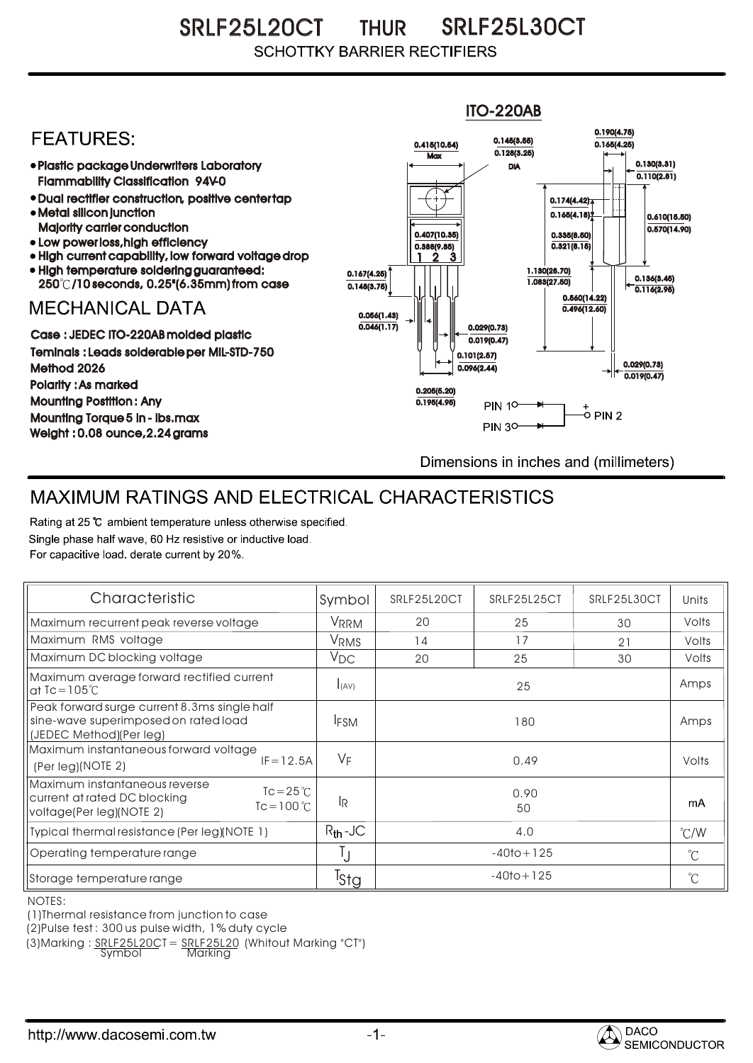SRLF25L20CT THUR SRLF25L30CT **SCHOTTKY BARRIER RECTIFIERS** 



## MAXIMUM RATINGS AND ELECTRICAL CHARACTERISTICS

Rating at 25 °C ambient temperature unless otherwise specified. Single phase half wave, 60 Hz resistive or inductive load. For capacitive load, derate current by 20%.

| Characteristic                                                                                                                          | Symbol                  | SRLF25L20CT    | SRLF25L25CT | SRLF25L30CT | Units         |
|-----------------------------------------------------------------------------------------------------------------------------------------|-------------------------|----------------|-------------|-------------|---------------|
| Maximum recurrent peak reverse voltage                                                                                                  | <b>VRRM</b>             | 20             | 25          | 30          | Volts         |
| Maximum RMS voltage                                                                                                                     | <b>V</b> <sub>RMS</sub> | 14             | 17          | 21          | Volts         |
| Maximum DC blocking voltage                                                                                                             | $V_{DC}$                | 20             | 25          | 30          | Volts         |
| Maximum average forward rectified current<br>at $\text{IC} = 105^{\circ}$ C                                                             | I(AV)                   | 25             |             |             | Amps          |
| Peak forward surge current 8.3ms single half<br>sine-wave superimposed on rated load<br>(JEDEC Method)(Per leg)                         | <b>IFSM</b>             | 180            |             |             | Amps          |
| Maximum instantaneous forward voltage<br>$IF = 12.5A$<br>(Per leg)(NOTE 2)                                                              | $V_F$                   | 0.49           |             |             | Volts         |
| Maximum instantaneous reverse<br>$Tc = 25^{\circ}$<br>current at rated DC blocking<br>$T_c = 100^{\circ}$ C<br>voltage(Per leg)(NOTE 2) | <b>IR</b>               | 0.90<br>50     |             |             | mA            |
| Typical thermal resistance (Per leg)(NOTE 1)                                                                                            | $R_{th}$ -JC            | 4.0            |             |             | $\degree$ C/W |
| Operating temperature range                                                                                                             | IJ                      | $-40$ to + 125 |             |             | $^{\circ}$ C  |
| Storage temperature range                                                                                                               | Tstg                    | $-40$ to + 125 |             |             | $^{\circ}$ C  |

NOTES:

(1)Thermal resistance from junction to case

(2)Pulse test : 300 us pulse width, 1% duty cycle

(3)Marking : SRLF25L20CT = SRLF25L20 (Whitout Marking "CT")

Symbol Marking